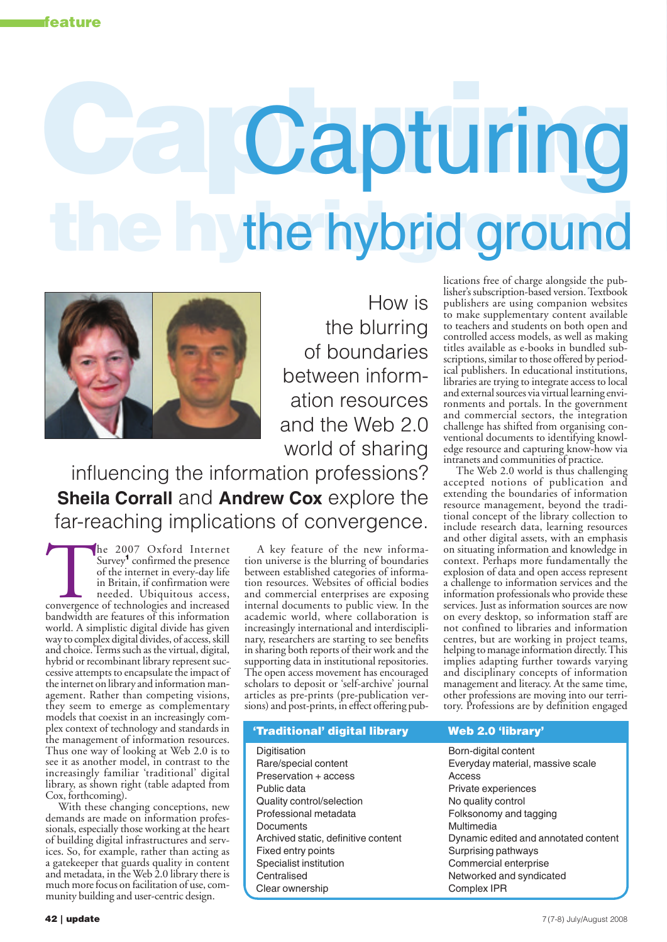# **Capturing** Capturing **the hybrid ground** the hybrid ground



How is the blurring of boundaries between information resources and the Web 2.0 world of sharing

influencing the information professions? **Sheila Corrall** and **Andrew Cox** explore the far-reaching implications of convergence.

The 2007 Oxford Internet<br>
Survey<sup>1</sup> confirmed the presence<br>
of the internet in every-day life<br>
in Britain, if confirmation were<br>
needed. Ubiquitous access,<br>
convergence of technologies and increased<br>
bandwidth are features Survey<sup>1</sup> confirmed the presence of the internet in every-day life in Britain, if confirmation were needed. Ubiquitous access, bandwidth are features of this information world. A simplistic digital divide has given way to complex digital divides, of access, skill and choice. Terms such as the virtual, digital, hybrid or recombinant library represent successive attempts to encapsulate the impact of the internet on library and information management. Rather than competing visions, they seem to emerge as complementary models that coexist in an increasingly complex context of technology and standards in the management of information resources. Thus one way of looking at Web 2.0 is to see it as another model, in contrast to the increasingly familiar 'traditional' digital library, as shown right (table adapted from Cox, forthcoming).

With these changing conceptions, new demands are made on information professionals, especially those working at the heart of building digital infrastructures and services. So, for example, rather than acting as a gatekeeper that guards quality in content and metadata, in the Web 2.0 library there is much more focus on facilitation of use, community building and user-centric design.

A key feature of the new information universe is the blurring of boundaries between established categories of information resources. Websites of official bodies and commercial enterprises are exposing internal documents to public view. In the academic world, where collaboration is increasingly international and interdisciplinary, researchers are starting to see benefits in sharing both reports of their work and the supporting data in institutional repositories. The open access movement has encouraged scholars to deposit or 'self-archive' journal articles as pre-prints (pre-publication versions) and post-prints, in effect offering pub-

# **'Traditional' digital library Web 2.0 'library'**

Digitisation **Born-digital content** Preservation + access Access Public data **Private experiences** Quality control/selection No quality control Professional metadata Folksonomy and tagging Documents Multimedia Fixed entry points **Surprising pathways** Surprising pathways Specialist institution Commercial enterprise Centralised **Networked** and syndicated Clear ownership Clear Complex IPR

lications free of charge alongside the publisher's subscription-based version. Textbook publishers are using companion websites to make supplementary content available to teachers and students on both open and controlled access models, as well as making titles available as e-books in bundled subscriptions, similar to those offered by periodical publishers. In educational institutions, libraries are trying to integrate access to local and external sources via virtual learning environments and portals. In the government and commercial sectors, the integration challenge has shifted from organising conventional documents to identifying knowledge resource and capturing know-how via intranets and communities of practice.

The Web 2.0 world is thus challenging accepted notions of publication and extending the boundaries of information resource management, beyond the traditional concept of the library collection to include research data, learning resources and other digital assets, with an emphasis on situating information and knowledge in context. Perhaps more fundamentally the explosion of data and open access represent a challenge to information services and the information professionals who provide these services. Just as information sources are now on every desktop, so information staff are not confined to libraries and information centres, but are working in project teams, helping to manage information directly. This implies adapting further towards varying and disciplinary concepts of information management and literacy. At the same time, other professions are moving into our territory. Professions are by definition engaged

Rare/special content Everyday material, massive scale Archived static, definitive content Dynamic edited and annotated content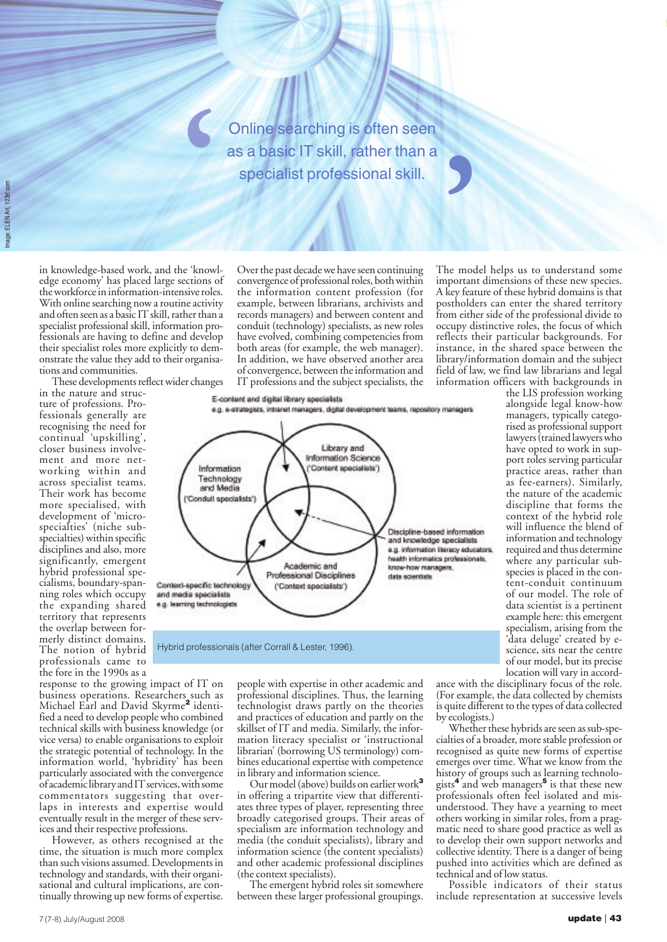Online searching is often seen as a basic IT skill, rather than a specialist professional skill.<br>
Specialist professional skill.<br>
Over the past decade we have seen continuing The mod<br>
convergence of professional roles, both within important

Image: ELEN Art, 123rf.com

in knowledge-based work, and the 'knowledge economy' has placed large sections of the workforce in information-intensive roles. With online searching now a routine activity and often seen as a basic IT skill, rather than a specialist professional skill, information professionals are having to define and develop their specialist roles more explicitly to demonstrate the value they add to their organisations and communities.

**'**

These developments reflect wider changes

in the nature and structure of professions. Professionals generally are recognising the need for continual 'upskilling', closer business involvement and more networking within and across specialist teams. Their work has become more specialised, with development of 'microspecialties' (niche subspecialties) within specific disciplines and also, more significantly, emergent hybrid professional specialisms, boundary-spanning roles which occupy the expanding shared territory that represents the overlap between formerly distinct domains. The notion of hybrid professionals came to the fore in the 1990s as a

response to the growing impact of IT on business operations. Researchers such as Michael Earl and David Skyrme**<sup>2</sup>** identified a need to develop people who combined technical skills with business knowledge (or vice versa) to enable organisations to exploit the strategic potential of technology. In the information world, 'hybridity' has been particularly associated with the convergence of academic library and IT services, with some commentators suggesting that overlaps in interests and expertise would eventually result in the merger of these services and their respective professions.

However, as others recognised at the time, the situation is much more complex than such visions assumed. Developments in technology and standards, with their organisational and cultural implications, are continually throwing up new forms of expertise.

Over the past decade we have seen continuing convergence of professional roles, both within the information content profession (for example, between librarians, archivists and records managers) and between content and conduit (technology) specialists, as new roles have evolved, combining competencies from both areas (for example, the web manager). In addition, we have observed another area of convergence, between the information and IT professions and the subject specialists, the

E-content and digital library specialists e.g. e-strategists, intranet managers, digital development teams, repository managers



Hybrid professionals (after Corrall & Lester, 1996).

people with expertise in other academic and professional disciplines. Thus, the learning technologist draws partly on the theories and practices of education and partly on the skillset of IT and media. Similarly, the information literacy specialist or 'instructional librarian' (borrowing US terminology) combines educational expertise with competence in library and information science.

Our model (above) builds on earlier work**<sup>3</sup>** in offering a tripartite view that differentiates three types of player, representing three broadly categorised groups. Their areas of specialism are information technology and media (the conduit specialists), library and information science (the content specialists) and other academic professional disciplines (the context specialists).

The emergent hybrid roles sit somewhere between these larger professional groupings.

The model helps us to understand some important dimensions of these new species. A key feature of these hybrid domains is that postholders can enter the shared territory from either side of the professional divide to occupy distinctive roles, the focus of which reflects their particular backgrounds. For instance, in the shared space between the library/information domain and the subject field of law, we find law librarians and legal information officers with backgrounds in

the LIS profession working alongside legal know-how managers, typically categorised as professional support lawyers (trained lawyers who have opted to work in support roles serving particular practice areas, rather than as fee-earners). Similarly, the nature of the academic discipline that forms the context of the hybrid role will influence the blend of information and technology required and thus determine where any particular subspecies is placed in the content-conduit continuum of our model. The role of data scientist is a pertinent example here: this emergent specialism, arising from the 'data deluge' created by escience, sits near the centre of our model, but its precise location will vary in accord-

ance with the disciplinary focus of the role. (For example, the data collected by chemists is quite different to the types of data collected by ecologists.)

Whether these hybrids are seen as sub-specialties of a broader, more stable profession or recognised as quite new forms of expertise emerges over time. What we know from the history of groups such as learning technologists**<sup>4</sup>** and web managers**<sup>5</sup>** is that these new professionals often feel isolated and misunderstood. They have a yearning to meet others working in similar roles, from a pragmatic need to share good practice as well as to develop their own support networks and collective identity. There is a danger of being pushed into activities which are defined as technical and of low status.

Possible indicators of their status include representation at successive levels